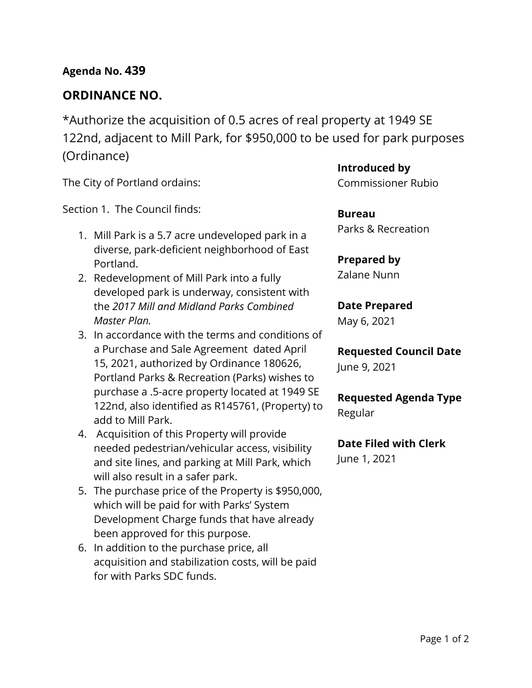## **Agenda No. 439**

## **ORDINANCE NO.**

\*Authorize the acquisition of 0.5 acres of real property at 1949 SE 122nd, adjacent to Mill Park, for \$950,000 to be used for park purposes (Ordinance)

The City of Portland ordains:

Section 1. The Council finds:

- 1. Mill Park is a 5.7 acre undeveloped park in a diverse, park-deficient neighborhood of East Portland.
- 2. Redevelopment of Mill Park into a fully developed park is underway, consistent with the *2017 Mill and Midland Parks Combined Master Plan.*
- 3. In accordance with the terms and conditions of a Purchase and Sale Agreement dated April 15, 2021, authorized by Ordinance 180626, Portland Parks & Recreation (Parks) wishes to purchase a .5-acre property located at 1949 SE 122nd, also identified as R145761, (Property) to add to Mill Park.
- 4. Acquisition of this Property will provide needed pedestrian/vehicular access, visibility and site lines, and parking at Mill Park, which will also result in a safer park.
- 5. The purchase price of the Property is \$950,000, which will be paid for with Parks' System Development Charge funds that have already been approved for this purpose.
- 6. In addition to the purchase price, all acquisition and stabilization costs, will be paid for with Parks SDC funds.

**Introduced by**

Commissioner Rubio

**Bureau** Parks & Recreation

# **Prepared by**

Zalane Nunn

# **Date Prepared**

May 6, 2021

**Requested Council Date** June 9, 2021

**Requested Agenda Type** Regular

## **Date Filed with Clerk**  June 1, 2021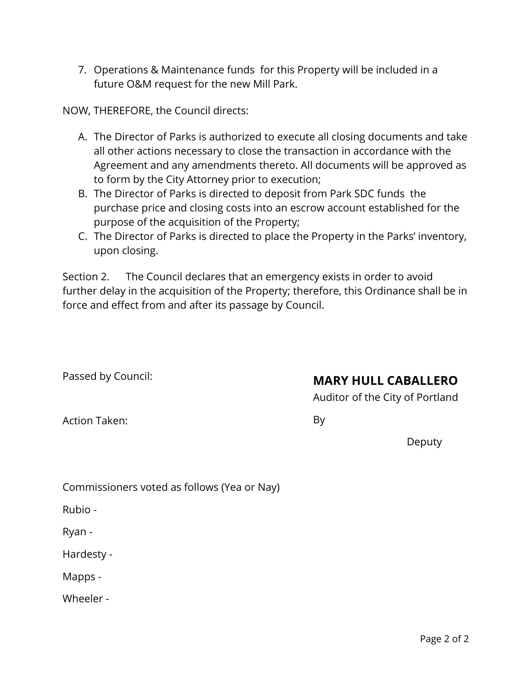7. Operations & Maintenance funds for this Property will be included in a future O&M request for the new Mill Park.

NOW, THEREFORE, the Council directs:

- A. The Director of Parks is authorized to execute all closing documents and take all other actions necessary to close the transaction in accordance with the Agreement and any amendments thereto. All documents will be approved as to form by the City Attorney prior to execution;
- B. The Director of Parks is directed to deposit from Park SDC funds the purchase price and closing costs into an escrow account established for the purpose of the acquisition of the Property;
- C. The Director of Parks is directed to place the Property in the Parks' inventory, upon closing.

Section 2. The Council declares that an emergency exists in order to avoid further delay in the acquisition of the Property; therefore, this Ordinance shall be in force and effect from and after its passage by Council.

Passed by Council:

# **MARY HULL CABALLERO**

Auditor of the City of Portland

Action Taken:

By

Deputy

| Commissioners voted as follows (Yea or Nay) |  |  |  |
|---------------------------------------------|--|--|--|
|                                             |  |  |  |

Rubio -

Ryan -

Hardesty -

Mapps -

Wheeler -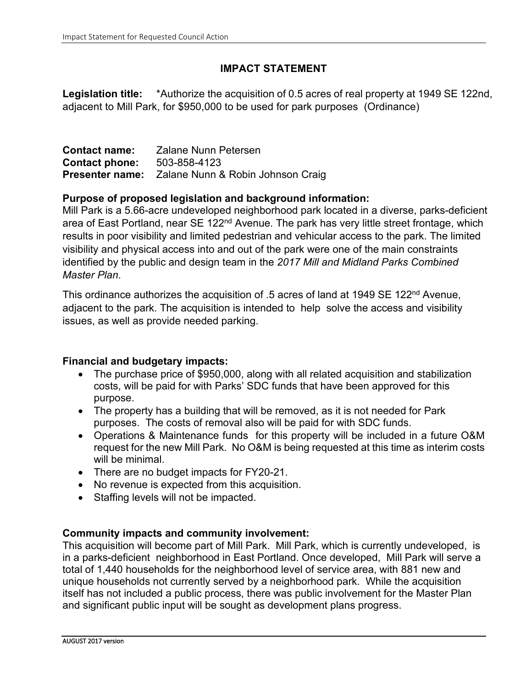### **IMPACT STATEMENT**

**Legislation title:** \*Authorize the acquisition of 0.5 acres of real property at 1949 SE 122nd, adjacent to Mill Park, for \$950,000 to be used for park purposes (Ordinance)

| <b>Contact name:</b>  | Zalane Nunn Petersen                                     |
|-----------------------|----------------------------------------------------------|
| <b>Contact phone:</b> | 503-858-4123                                             |
|                       | <b>Presenter name:</b> Zalane Nunn & Robin Johnson Craig |

#### **Purpose of proposed legislation and background information:**

Mill Park is a 5.66-acre undeveloped neighborhood park located in a diverse, parks-deficient area of East Portland, near SE 122<sup>nd</sup> Avenue. The park has very little street frontage, which results in poor visibility and limited pedestrian and vehicular access to the park. The limited visibility and physical access into and out of the park were one of the main constraints identified by the public and design team in the *2017 Mill and Midland Parks Combined Master Plan*.

This ordinance authorizes the acquisition of .5 acres of land at 1949 SE 122<sup>nd</sup> Avenue, adjacent to the park. The acquisition is intended to help solve the access and visibility issues, as well as provide needed parking.

### **Financial and budgetary impacts:**

- The purchase price of \$950,000, along with all related acquisition and stabilization costs, will be paid for with Parks' SDC funds that have been approved for this purpose.
- The property has a building that will be removed, as it is not needed for Park purposes. The costs of removal also will be paid for with SDC funds.
- Operations & Maintenance funds for this property will be included in a future O&M request for the new Mill Park. No O&M is being requested at this time as interim costs will be minimal.
- There are no budget impacts for FY20-21.
- No revenue is expected from this acquisition.
- Staffing levels will not be impacted.

#### **Community impacts and community involvement:**

This acquisition will become part of Mill Park. Mill Park, which is currently undeveloped, is in a parks-deficient neighborhood in East Portland. Once developed, Mill Park will serve a total of 1,440 households for the neighborhood level of service area, with 881 new and unique households not currently served by a neighborhood park. While the acquisition itself has not included a public process, there was public involvement for the Master Plan and significant public input will be sought as development plans progress.